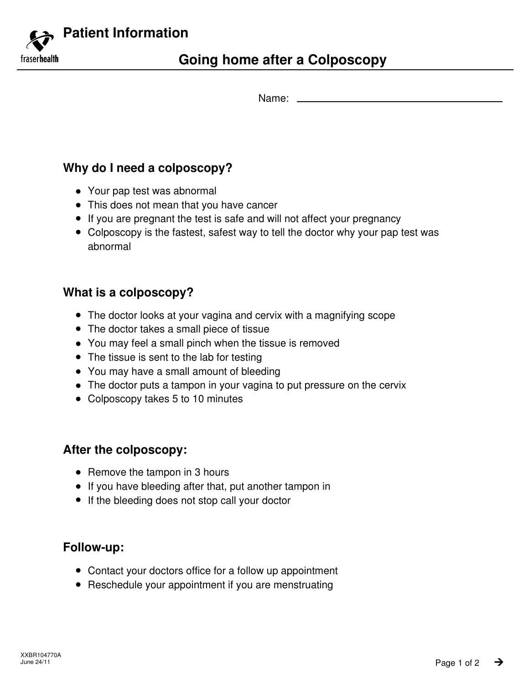**Patient Information** fraserhealth

Name:

# **Why do I need a colposcopy?**

- Your pap test was abnormal
- This does not mean that you have cancer
- If you are pregnant the test is safe and will not affect your pregnancy
- Colposcopy is the fastest, safest way to tell the doctor why your pap test was abnormal

# **What is a colposcopy?**

- The doctor looks at your vagina and cervix with a magnifying scope
- The doctor takes a small piece of tissue
- You may feel a small pinch when the tissue is removed
- The tissue is sent to the lab for testing
- You may have a small amount of bleeding
- The doctor puts a tampon in your vagina to put pressure on the cervix
- Colposcopy takes 5 to 10 minutes

### **After the colposcopy:**

- Remove the tampon in 3 hours
- If you have bleeding after that, put another tampon in
- **•** If the bleeding does not stop call your doctor

### **Follow-up:**

- Contact your doctors office for a follow up appointment
- Reschedule your appointment if you are menstruating